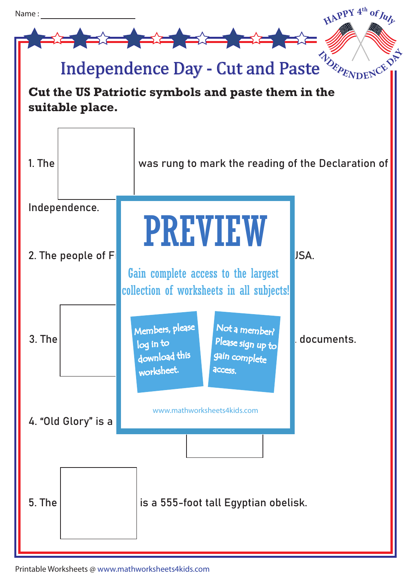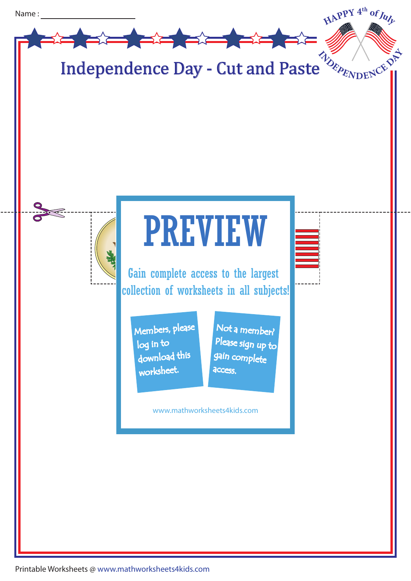